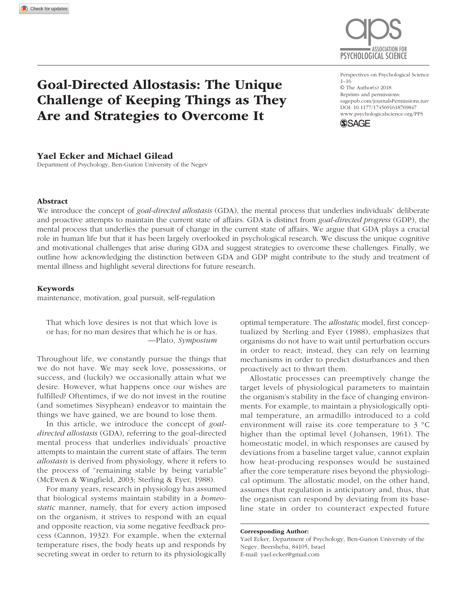

## Yael Ecker and Michael Gilead

Department of Psychology, Ben-Gurion University of the Negev



https://doi.org/10.1177/1745691618769847 DOI: 10.1177/1745691618769847 Perspectives on Psychological Science 1–16 © The Author(s) 2018 Reprints and permissions: [sagepub.com/journalsPermissions.nav](https://sagepub.com/journalsPermissions.nav) [www.psychologicalscience.org/PPS](http://www.psychologicalscience.org/pps)



#### Abstract

We introduce the concept of *goal-directed allostasis* (GDA), the mental process that underlies individuals' deliberate and proactive attempts to maintain the current state of affairs. GDA is distinct from *goal-directed progress* (GDP), the mental process that underlies the pursuit of change in the current state of affairs. We argue that GDA plays a crucial role in human life but that it has been largely overlooked in psychological research. We discuss the unique cognitive and motivational challenges that arise during GDA and suggest strategies to overcome these challenges. Finally, we outline how acknowledging the distinction between GDA and GDP might contribute to the study and treatment of mental illness and highlight several directions for future research.

#### Keywords

maintenance, motivation, goal pursuit, self-regulation

That which love desires is not that which love is or has; for no man desires that which he is or has. —Plato, *Symposium*

Throughout life, we constantly pursue the things that we do not have. We may seek love, possessions, or success, and (luckily) we occasionally attain what we desire. However, what happens once our wishes are fulfilled? Oftentimes, if we do not invest in the routine (and sometimes Sisyphean) endeavor to maintain the things we have gained, we are bound to lose them.

In this article, we introduce the concept of *goaldirected allostasis* (GDA), referring to the goal-directed mental process that underlies individuals' proactive attempts to maintain the current state of affairs. The term *allostasis* is derived from physiology, where it refers to the process of "remaining stable by being variable" (McEwen & Wingfield, 2003; Sterling & Eyer, 1988).

For many years, research in physiology has assumed that biological systems maintain stability in a *homeostatic* manner, namely, that for every action imposed on the organism, it strives to respond with an equal and opposite reaction, via some negative feedback process (Cannon, 1932). For example, when the external temperature rises, the body heats up and responds by secreting sweat in order to return to its physiologically

optimal temperature. The *allostatic* model, first conceptualized by Sterling and Eyer (1988), emphasizes that organisms do not have to wait until perturbation occurs in order to react; instead, they can rely on learning mechanisms in order to predict disturbances and then proactively act to thwart them.

Allostatic processes can preemptively change the target levels of physiological parameters to maintain the organism's stability in the face of changing environments. For example, to maintain a physiologically optimal temperature, an armadillo introduced to a cold environment will raise its core temperature to 3 °C higher than the optimal level (Johansen, 1961). The homeostatic model, in which responses are caused by deviations from a baseline target value, cannot explain how heat-producing responses would be sustained after the core temperature rises beyond the physiological optimum. The allostatic model, on the other hand, assumes that regulation is anticipatory and, thus, that the organism can respond by deviating from its baseline state in order to counteract expected future

Corresponding Author:

Yael Ecker, Department of Psychology, Ben-Gurion University of the Negev, Beersheba, 84105, Israel E-mail: [yael.ecker@gmail.com](mailto:yael.ecker@gmail.com)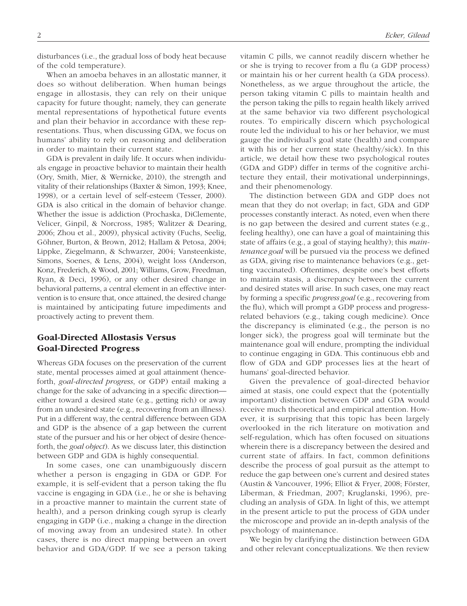disturbances (i.e., the gradual loss of body heat because of the cold temperature).

When an amoeba behaves in an allostatic manner, it does so without deliberation. When human beings engage in allostasis, they can rely on their unique capacity for future thought; namely, they can generate mental representations of hypothetical future events and plan their behavior in accordance with these representations. Thus, when discussing GDA, we focus on humans' ability to rely on reasoning and deliberation in order to maintain their current state.

GDA is prevalent in daily life. It occurs when individuals engage in proactive behavior to maintain their health (Ory, Smith, Mier, & Wernicke, 2010), the strength and vitality of their relationships (Baxter & Simon, 1993; Knee, 1998), or a certain level of self-esteem (Tesser, 2000). GDA is also critical in the domain of behavior change. Whether the issue is addiction (Prochaska, DiClemente, Velicer, Ginpil, & Norcross, 1985; Walitzer & Dearing, 2006; Zhou et al., 2009), physical activity (Fuchs, Seelig, Göhner, Burton, & Brown, 2012; Hallam & Petosa, 2004; Lippke, Ziegelmann, & Schwarzer, 2004; Vansteenkiste, Simons, Soenes, & Lens, 2004), weight loss (Anderson, Konz, Frederich, & Wood, 2001; Williams, Grow, Freedman, Ryan, & Deci, 1996), or any other desired change in behavioral patterns, a central element in an effective intervention is to ensure that, once attained, the desired change is maintained by anticipating future impediments and proactively acting to prevent them.

# Goal-Directed Allostasis Versus Goal-Directed Progress

Whereas GDA focuses on the preservation of the current state, mental processes aimed at goal attainment (henceforth, *goal-directed progress*, or GDP) entail making a change for the sake of advancing in a specific direction either toward a desired state (e.g., getting rich) or away from an undesired state (e.g., recovering from an illness). Put in a different way, the central difference between GDA and GDP is the absence of a gap between the current state of the pursuer and his or her object of desire (henceforth, the *goal object*). As we discuss later, this distinction between GDP and GDA is highly consequential.

In some cases, one can unambiguously discern whether a person is engaging in GDA or GDP. For example, it is self-evident that a person taking the flu vaccine is engaging in GDA (i.e., he or she is behaving in a proactive manner to maintain the current state of health), and a person drinking cough syrup is clearly engaging in GDP (i.e., making a change in the direction of moving away from an undesired state). In other cases, there is no direct mapping between an overt behavior and GDA/GDP. If we see a person taking vitamin C pills, we cannot readily discern whether he or she is trying to recover from a flu (a GDP process) or maintain his or her current health (a GDA process). Nonetheless, as we argue throughout the article, the person taking vitamin C pills to maintain health and the person taking the pills to regain health likely arrived at the same behavior via two different psychological routes. To empirically discern which psychological route led the individual to his or her behavior, we must gauge the individual's goal state (health) and compare it with his or her current state (healthy/sick). In this article, we detail how these two psychological routes (GDA and GDP) differ in terms of the cognitive architecture they entail, their motivational underpinnings, and their phenomenology.

The distinction between GDA and GDP does not mean that they do not overlap; in fact, GDA and GDP processes constantly interact. As noted, even when there is no gap between the desired and current states (e.g., feeling healthy), one can have a goal of maintaining this state of affairs (e.g., a goal of staying healthy); this *maintenance goal* will be pursued via the process we defined as GDA, giving rise to maintenance behaviors (e.g., getting vaccinated). Oftentimes, despite one's best efforts to maintain stasis, a discrepancy between the current and desired states will arise. In such cases, one may react by forming a specific *progress goal* (e.g., recovering from the flu), which will prompt a GDP process and progressrelated behaviors (e.g., taking cough medicine). Once the discrepancy is eliminated (e.g., the person is no longer sick), the progress goal will terminate but the maintenance goal will endure, prompting the individual to continue engaging in GDA. This continuous ebb and flow of GDA and GDP processes lies at the heart of humans' goal-directed behavior.

Given the prevalence of goal-directed behavior aimed at stasis, one could expect that the (potentially important) distinction between GDP and GDA would receive much theoretical and empirical attention. However, it is surprising that this topic has been largely overlooked in the rich literature on motivation and self-regulation, which has often focused on situations wherein there is a discrepancy between the desired and current state of affairs. In fact, common definitions describe the process of goal pursuit as the attempt to reduce the gap between one's current and desired states (Austin & Vancouver, 1996; Elliot & Fryer, 2008; Förster, Liberman, & Friedman, 2007; Kruglanski, 1996), precluding an analysis of GDA. In light of this, we attempt in the present article to put the process of GDA under the microscope and provide an in-depth analysis of the psychology of maintenance.

We begin by clarifying the distinction between GDA and other relevant conceptualizations. We then review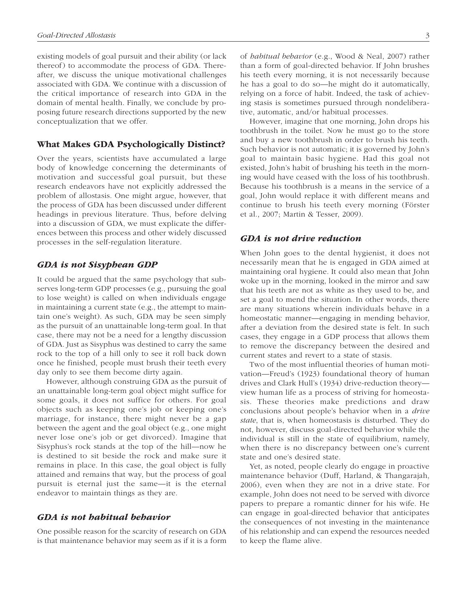existing models of goal pursuit and their ability (or lack thereof) to accommodate the process of GDA. Thereafter, we discuss the unique motivational challenges associated with GDA. We continue with a discussion of the critical importance of research into GDA in the domain of mental health. Finally, we conclude by proposing future research directions supported by the new conceptualization that we offer.

### What Makes GDA Psychologically Distinct?

Over the years, scientists have accumulated a large body of knowledge concerning the determinants of motivation and successful goal pursuit, but these research endeavors have not explicitly addressed the problem of allostasis. One might argue, however, that the process of GDA has been discussed under different headings in previous literature. Thus, before delving into a discussion of GDA, we must explicate the differences between this process and other widely discussed processes in the self-regulation literature.

### *GDA is not Sisyphean GDP*

It could be argued that the same psychology that subserves long-term GDP processes (e.g., pursuing the goal to lose weight) is called on when individuals engage in maintaining a current state (e.g., the attempt to maintain one's weight). As such, GDA may be seen simply as the pursuit of an unattainable long-term goal. In that case, there may not be a need for a lengthy discussion of GDA. Just as Sisyphus was destined to carry the same rock to the top of a hill only to see it roll back down once he finished, people must brush their teeth every day only to see them become dirty again.

However, although construing GDA as the pursuit of an unattainable long-term goal object might suffice for some goals, it does not suffice for others. For goal objects such as keeping one's job or keeping one's marriage, for instance, there might never be a gap between the agent and the goal object (e.g., one might never lose one's job or get divorced). Imagine that Sisyphus's rock stands at the top of the hill—now he is destined to sit beside the rock and make sure it remains in place. In this case, the goal object is fully attained and remains that way, but the process of goal pursuit is eternal just the same—it is the eternal endeavor to maintain things as they are.

### *GDA is not habitual behavior*

One possible reason for the scarcity of research on GDA is that maintenance behavior may seem as if it is a form of *habitual behavior* (e.g., Wood & Neal, 2007) rather than a form of goal-directed behavior. If John brushes his teeth every morning, it is not necessarily because he has a goal to do so—he might do it automatically, relying on a force of habit. Indeed, the task of achieving stasis is sometimes pursued through nondeliberative, automatic, and/or habitual processes.

However, imagine that one morning, John drops his toothbrush in the toilet. Now he must go to the store and buy a new toothbrush in order to brush his teeth. Such behavior is not automatic; it is governed by John's goal to maintain basic hygiene. Had this goal not existed, John's habit of brushing his teeth in the morning would have ceased with the loss of his toothbrush. Because his toothbrush is a means in the service of a goal, John would replace it with different means and continue to brush his teeth every morning (Förster et al., 2007; Martin & Tesser, 2009).

### *GDA is not drive reduction*

When John goes to the dental hygienist, it does not necessarily mean that he is engaged in GDA aimed at maintaining oral hygiene. It could also mean that John woke up in the morning, looked in the mirror and saw that his teeth are not as white as they used to be, and set a goal to mend the situation. In other words, there are many situations wherein individuals behave in a homeostatic manner—engaging in mending behavior, after a deviation from the desired state is felt. In such cases, they engage in a GDP process that allows them to remove the discrepancy between the desired and current states and revert to a state of stasis.

Two of the most influential theories of human motivation—Freud's (1923) foundational theory of human drives and Clark Hull's (1934) drive-reduction theory view human life as a process of striving for homeostasis. These theories make predictions and draw conclusions about people's behavior when in a *drive state*, that is, when homeostasis is disturbed. They do not, however, discuss goal-directed behavior while the individual is still in the state of equilibrium, namely, when there is no discrepancy between one's current state and one's desired state.

Yet, as noted, people clearly do engage in proactive maintenance behavior (Duff, Harland, & Thangarajah, 2006), even when they are not in a drive state. For example, John does not need to be served with divorce papers to prepare a romantic dinner for his wife. He can engage in goal-directed behavior that anticipates the consequences of not investing in the maintenance of his relationship and can expend the resources needed to keep the flame alive.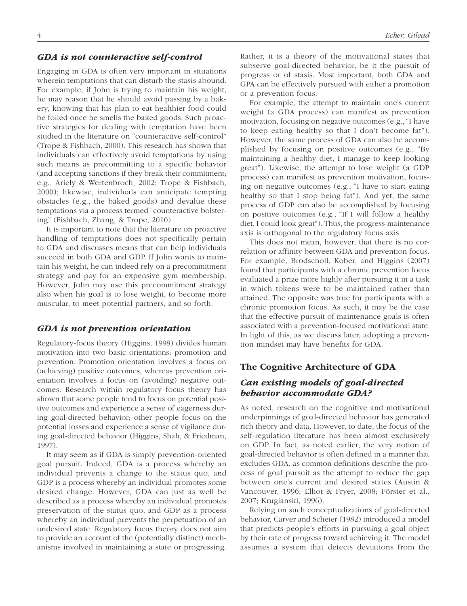### *GDA is not counteractive self-control*

Engaging in GDA is often very important in situations wherein temptations that can disturb the stasis abound. For example, if John is trying to maintain his weight, he may reason that he should avoid passing by a bakery, knowing that his plan to eat healthier food could be foiled once he smells the baked goods. Such proactive strategies for dealing with temptation have been studied in the literature on "counteractive self-control" (Trope & Fishbach, 2000). This research has shown that individuals can effectively avoid temptations by using such means as precommitting to a specific behavior (and accepting sanctions if they break their commitment; e.g., Ariely & Wertenbroch, 2002; Trope & Fishbach, 2000); likewise, individuals can anticipate tempting obstacles (e.g., the baked goods) and devalue these temptations via a process termed "counteractive bolstering" (Fishbach, Zhang, & Trope, 2010).

It is important to note that the literature on proactive handling of temptations does not specifically pertain to GDA and discusses means that can help individuals succeed in both GDA and GDP. If John wants to maintain his weight, he can indeed rely on a precommitment strategy and pay for an expensive gym membership. However, John may use this precommitment strategy also when his goal is to lose weight, to become more muscular, to meet potential partners, and so forth.

### *GDA is not prevention orientation*

Regulatory-focus theory (Higgins, 1998) divides human motivation into two basic orientations: promotion and prevention. Promotion orientation involves a focus on (achieving) positive outcomes, whereas prevention orientation involves a focus on (avoiding) negative outcomes. Research within regulatory focus theory has shown that some people tend to focus on potential positive outcomes and experience a sense of eagerness during goal-directed behavior; other people focus on the potential losses and experience a sense of vigilance during goal-directed behavior (Higgins, Shah, & Friedman, 1997).

It may seem as if GDA is simply prevention-oriented goal pursuit. Indeed, GDA is a process whereby an individual prevents a change to the status quo, and GDP is a process whereby an individual promotes some desired change. However, GDA can just as well be described as a process whereby an individual promotes preservation of the status quo, and GDP as a process whereby an individual prevents the perpetuation of an undesired state. Regulatory focus theory does not aim to provide an account of the (potentially distinct) mechanisms involved in maintaining a state or progressing. Rather, it is a theory of the motivational states that subserve goal-directed behavior, be it the pursuit of progress or of stasis. Most important, both GDA and GPA can be effectively pursued with either a promotion or a prevention focus.

For example, the attempt to maintain one's current weight (a GDA process) can manifest as prevention motivation, focusing on negative outcomes (e.g., "I have to keep eating healthy so that I don't become fat"). However, the same process of GDA can also be accomplished by focusing on positive outcomes (e.g., "By maintaining a healthy diet, I manage to keep looking great"). Likewise, the attempt to lose weight (a GDP process) can manifest as prevention motivation, focusing on negative outcomes (e.g., "I have to start eating healthy so that I stop being fat"). And yet, the same process of GDP can also be accomplished by focusing on positive outcomes (e.g., "If I will follow a healthy diet, I could look great"). Thus, the progress-maintenance axis is orthogonal to the regulatory focus axis.

This does not mean, however, that there is no correlation or affinity between GDA and prevention focus. For example, Brodscholl, Kober, and Higgins (2007) found that participants with a chronic prevention focus evaluated a prize more highly after pursuing it in a task in which tokens were to be maintained rather than attained. The opposite was true for participants with a chronic promotion focus. As such, it may be the case that the effective pursuit of maintenance goals is often associated with a prevention-focused motivational state. In light of this, as we discuss later, adopting a prevention mindset may have benefits for GDA.

### The Cognitive Architecture of GDA

## *Can existing models of goal-directed behavior accommodate GDA?*

As noted, research on the cognitive and motivational underpinnings of goal-directed behavior has generated rich theory and data. However, to date, the focus of the self-regulation literature has been almost exclusively on GDP. In fact, as noted earlier, the very notion of goal-directed behavior is often defined in a manner that excludes GDA, as common definitions describe the process of goal pursuit as the attempt to reduce the gap between one's current and desired states (Austin & Vancouver, 1996; Elliot & Fryer, 2008; Förster et al., 2007; Kruglanski, 1996).

Relying on such conceptualizations of goal-directed behavior, Carver and Scheier (1982) introduced a model that predicts people's efforts in pursuing a goal object by their rate of progress toward achieving it. The model assumes a system that detects deviations from the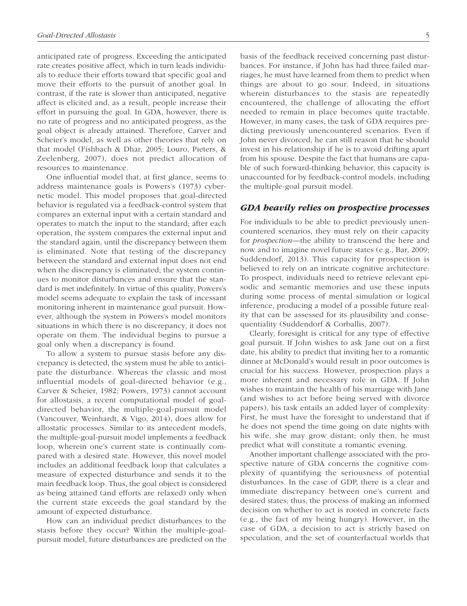anticipated rate of progress. Exceeding the anticipated rate creates positive affect, which in turn leads individuals to reduce their efforts toward that specific goal and move their efforts to the pursuit of another goal. In contrast, if the rate is slower than anticipated, negative affect is elicited and, as a result, people increase their effort in pursuing the goal. In GDA, however, there is no rate of progress and no anticipated progress, as the goal object is already attained. Therefore, Carver and Scheier's model, as well as other theories that rely on that model (Fishbach & Dhar, 2005; Louro, Pieters, & Zeelenberg, 2007), does not predict allocation of resources to maintenance.

One influential model that, at first glance, seems to address maintenance goals is Powers's (1973) cybernetic model. This model proposes that goal-directed behavior is regulated via a feedback-control system that compares an external input with a certain standard and operates to match the input to the standard; after each operation, the system compares the external input and the standard again, until the discrepancy between them is eliminated. Note that testing of the discrepancy between the standard and external input does not end when the discrepancy is eliminated; the system continues to monitor disturbances and ensure that the standard is met indefinitely. In virtue of this quality, Powers's model seems adequate to explain the task of incessant monitoring inherent in maintenance goal pursuit. However, although the system in Powers's model monitors situations in which there is no discrepancy, it does not operate on them. The individual begins to pursue a goal only when a discrepancy is found.

To allow a system to pursue stasis before any discrepancy is detected, the system must be able to anticipate the disturbance. Whereas the classic and most influential models of goal-directed behavior (e.g., Carver & Scheier, 1982; Powers, 1973) cannot account for allostasis, a recent computational model of goaldirected behavior, the multiple-goal-pursuit model (Vancouver, Weinhardt, & Vigo, 2014), does allow for allostatic processes. Similar to its antecedent models, the multiple-goal-pursuit model implements a feedback loop, wherein one's current state is continually compared with a desired state. However, this novel model includes an additional feedback loop that calculates a measure of expected disturbance and sends it to the main feedback loop. Thus, the goal object is considered as being attained (and efforts are relaxed) only when the current state exceeds the goal standard by the amount of expected disturbance.

How can an individual predict disturbances to the stasis before they occur? Within the multiple-goalpursuit model, future disturbances are predicted on the basis of the feedback received concerning past disturbances. For instance, if John has had three failed marriages, he must have learned from them to predict when things are about to go sour. Indeed, in situations wherein disturbances to the stasis are repeatedly encountered, the challenge of allocating the effort needed to remain in place becomes quite tractable. However, in many cases, the task of GDA requires predicting previously unencountered scenarios. Even if John never divorced, he can still reason that he should invest in his relationship if he is to avoid drifting apart from his spouse. Despite the fact that humans are capable of such forward-thinking behavior, this capacity is unaccounted for by feedback-control models, including the multiple-goal pursuit model.

### *GDA heavily relies on prospective processes*

For individuals to be able to predict previously unencountered scenarios, they must rely on their capacity for *prospection*—the ability to transcend the here and now and to imagine novel future states (e.g., Bar, 2009; Suddendorf, 2013). This capacity for prospection is believed to rely on an intricate cognitive architecture: To prospect, individuals need to retrieve relevant episodic and semantic memories and use these inputs during some process of mental simulation or logical inference, producing a model of a possible future reality that can be assessed for its plausibility and consequentiality (Suddendorf & Corballis, 2007).

Clearly, foresight is critical for any type of effective goal pursuit. If John wishes to ask Jane out on a first date, his ability to predict that inviting her to a romantic dinner at McDonald's would result in poor outcomes is crucial for his success. However, prospection plays a more inherent and necessary role in GDA. If John wishes to maintain the health of his marriage with Jane (and wishes to act before being served with divorce papers), his task entails an added layer of complexity: First, he must have the foresight to understand that if he does not spend the time going on date nights with his wife, she may grow distant; only then, he must predict what will constitute a romantic evening.

Another important challenge associated with the prospective nature of GDA concerns the cognitive complexity of quantifying the seriousness of potential disturbances. In the case of GDP, there is a clear and immediate discrepancy between one's current and desired states; thus, the process of making an informed decision on whether to act is rooted in concrete facts (e.g., the fact of my being hungry). However, in the case of GDA, a decision to act is strictly based on speculation, and the set of counterfactual worlds that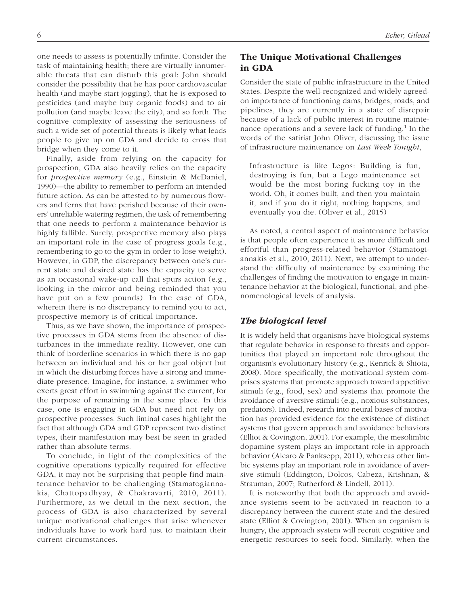one needs to assess is potentially infinite. Consider the task of maintaining health; there are virtually innumerable threats that can disturb this goal: John should consider the possibility that he has poor cardiovascular health (and maybe start jogging), that he is exposed to pesticides (and maybe buy organic foods) and to air pollution (and maybe leave the city), and so forth. The cognitive complexity of assessing the seriousness of such a wide set of potential threats is likely what leads people to give up on GDA and decide to cross that bridge when they come to it.

Finally, aside from relying on the capacity for prospection, GDA also heavily relies on the capacity for *prospective memory* (e.g., Einstein & McDaniel, 1990)—the ability to remember to perform an intended future action. As can be attested to by numerous flowers and ferns that have perished because of their owners' unreliable watering regimen, the task of remembering that one needs to perform a maintenance behavior is highly fallible. Surely, prospective memory also plays an important role in the case of progress goals (e.g., remembering to go to the gym in order to lose weight). However, in GDP, the discrepancy between one's current state and desired state has the capacity to serve as an occasional wake-up call that spurs action (e.g., looking in the mirror and being reminded that you have put on a few pounds). In the case of GDA, wherein there is no discrepancy to remind you to act, prospective memory is of critical importance.

Thus, as we have shown, the importance of prospective processes in GDA stems from the absence of disturbances in the immediate reality. However, one can think of borderline scenarios in which there is no gap between an individual and his or her goal object but in which the disturbing forces have a strong and immediate presence. Imagine, for instance, a swimmer who exerts great effort in swimming against the current, for the purpose of remaining in the same place. In this case, one is engaging in GDA but need not rely on prospective processes. Such liminal cases highlight the fact that although GDA and GDP represent two distinct types, their manifestation may best be seen in graded rather than absolute terms.

To conclude, in light of the complexities of the cognitive operations typically required for effective GDA, it may not be surprising that people find maintenance behavior to be challenging (Stamatogiannakis, Chattopadhyay, & Chakravarti, 2010, 2011). Furthermore, as we detail in the next section, the process of GDA is also characterized by several unique motivational challenges that arise whenever individuals have to work hard just to maintain their current circumstances.

# The Unique Motivational Challenges in GDA

Consider the state of public infrastructure in the United States. Despite the well-recognized and widely agreedon importance of functioning dams, bridges, roads, and pipelines, they are currently in a state of disrepair because of a lack of public interest in routine maintenance operations and a severe lack of funding.<sup>1</sup> In the words of the satirist John Oliver, discussing the issue of infrastructure maintenance on *Last Week Tonight*,

Infrastructure is like Legos: Building is fun, destroying is fun, but a Lego maintenance set would be the most boring fucking toy in the world. Oh, it comes built, and then you maintain it, and if you do it right, nothing happens, and eventually you die. (Oliver et al., 2015)

As noted, a central aspect of maintenance behavior is that people often experience it as more difficult and effortful than progress-related behavior (Stamatogiannakis et al., 2010, 2011). Next, we attempt to understand the difficulty of maintenance by examining the challenges of finding the motivation to engage in maintenance behavior at the biological, functional, and phenomenological levels of analysis.

# *The biological level*

It is widely held that organisms have biological systems that regulate behavior in response to threats and opportunities that played an important role throughout the organism's evolutionary history (e.g., Kenrick & Shiota, 2008). More specifically, the motivational system comprises systems that promote approach toward appetitive stimuli (e.g., food, sex) and systems that promote the avoidance of aversive stimuli (e.g., noxious substances, predators). Indeed, research into neural bases of motivation has provided evidence for the existence of distinct systems that govern approach and avoidance behaviors (Elliot & Covington, 2001). For example, the mesolimbic dopamine system plays an important role in approach behavior (Alcaro & Panksepp, 2011), whereas other limbic systems play an important role in avoidance of aversive stimuli (Eddington, Dolcos, Cabeza, Krishnan, & Strauman, 2007; Rutherford & Lindell, 2011).

It is noteworthy that both the approach and avoidance systems seem to be activated in reaction to a discrepancy between the current state and the desired state (Elliot & Covington, 2001). When an organism is hungry, the approach system will recruit cognitive and energetic resources to seek food. Similarly, when the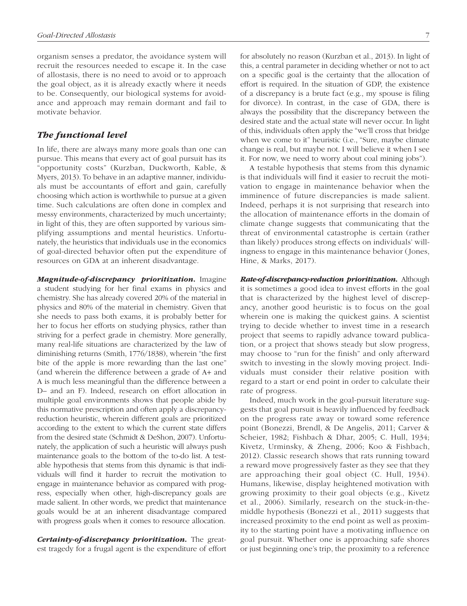organism senses a predator, the avoidance system will recruit the resources needed to escape it. In the case of allostasis, there is no need to avoid or to approach the goal object, as it is already exactly where it needs to be. Consequently, our biological systems for avoidance and approach may remain dormant and fail to motivate behavior.

### *The functional level*

In life, there are always many more goals than one can pursue. This means that every act of goal pursuit has its "opportunity costs" (Kurzban, Duckworth, Kable, & Myers, 2013). To behave in an adaptive manner, individuals must be accountants of effort and gain, carefully choosing which action is worthwhile to pursue at a given time. Such calculations are often done in complex and messy environments, characterized by much uncertainty; in light of this, they are often supported by various simplifying assumptions and mental heuristics. Unfortunately, the heuristics that individuals use in the economics of goal-directed behavior often put the expenditure of resources on GDA at an inherent disadvantage.

*Magnitude-of-discrepancy prioritization.* Imagine a student studying for her final exams in physics and chemistry. She has already covered 20% of the material in physics and 80% of the material in chemistry. Given that she needs to pass both exams, it is probably better for her to focus her efforts on studying physics, rather than striving for a perfect grade in chemistry. More generally, many real-life situations are characterized by the law of diminishing returns (Smith, 1776/1838), wherein "the first bite of the apple is more rewarding than the last one" (and wherein the difference between a grade of A+ and A is much less meaningful than the difference between a D– and an F). Indeed, research on effort allocation in multiple goal environments shows that people abide by this normative prescription and often apply a discrepancyreduction heuristic, wherein different goals are prioritized according to the extent to which the current state differs from the desired state (Schmidt & DeShon, 2007). Unfortunately, the application of such a heuristic will always push maintenance goals to the bottom of the to-do list. A testable hypothesis that stems from this dynamic is that individuals will find it harder to recruit the motivation to engage in maintenance behavior as compared with progress, especially when other, high-discrepancy goals are made salient. In other words, we predict that maintenance goals would be at an inherent disadvantage compared with progress goals when it comes to resource allocation.

*Certainty-of-discrepancy prioritization.* The greatest tragedy for a frugal agent is the expenditure of effort for absolutely no reason (Kurzban et al., 2013). In light of this, a central parameter in deciding whether or not to act on a specific goal is the certainty that the allocation of effort is required. In the situation of GDP, the existence of a discrepancy is a brute fact (e.g., my spouse is filing for divorce). In contrast, in the case of GDA, there is always the possibility that the discrepancy between the desired state and the actual state will never occur. In light of this, individuals often apply the "we'll cross that bridge when we come to it" heuristic (i.e., "Sure, maybe climate change is real, but maybe not. I will believe it when I see it. For now, we need to worry about coal mining jobs").

A testable hypothesis that stems from this dynamic is that individuals will find it easier to recruit the motivation to engage in maintenance behavior when the imminence of future discrepancies is made salient. Indeed, perhaps it is not surprising that research into the allocation of maintenance efforts in the domain of climate change suggests that communicating that the threat of environmental catastrophe is certain (rather than likely) produces strong effects on individuals' willingness to engage in this maintenance behavior (Jones, Hine, & Marks, 2017).

*Rate-of-discrepancy-reduction prioritization.* Although it is sometimes a good idea to invest efforts in the goal that is characterized by the highest level of discrepancy, another good heuristic is to focus on the goal wherein one is making the quickest gains. A scientist trying to decide whether to invest time in a research project that seems to rapidly advance toward publication, or a project that shows steady but slow progress, may choose to "run for the finish" and only afterward switch to investing in the slowly moving project. Individuals must consider their relative position with regard to a start or end point in order to calculate their rate of progress.

Indeed, much work in the goal-pursuit literature suggests that goal pursuit is heavily influenced by feedback on the progress rate away or toward some reference point (Bonezzi, Brendl, & De Angelis, 2011; Carver & Scheier, 1982; Fishbach & Dhar, 2005; C. Hull, 1934; Kivetz, Urminsky, & Zheng, 2006; Koo & Fishbach, 2012). Classic research shows that rats running toward a reward move progressively faster as they see that they are approaching their goal object (C. Hull, 1934). Humans, likewise, display heightened motivation with growing proximity to their goal objects (e.g., Kivetz et al., 2006). Similarly, research on the stuck-in-themiddle hypothesis (Bonezzi et al., 2011) suggests that increased proximity to the end point as well as proximity to the starting point have a motivating influence on goal pursuit. Whether one is approaching safe shores or just beginning one's trip, the proximity to a reference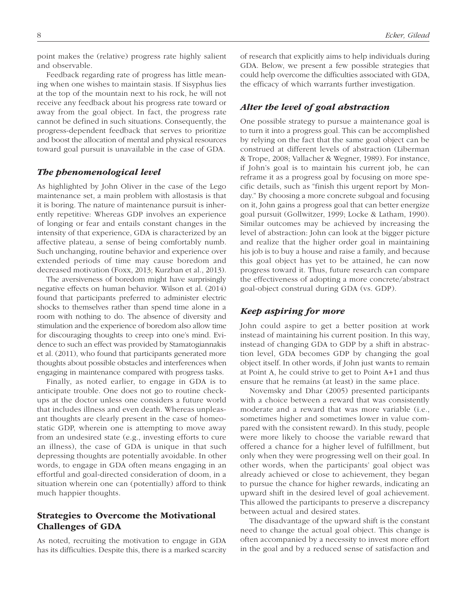point makes the (relative) progress rate highly salient and observable.

Feedback regarding rate of progress has little meaning when one wishes to maintain stasis. If Sisyphus lies at the top of the mountain next to his rock, he will not receive any feedback about his progress rate toward or away from the goal object. In fact, the progress rate cannot be defined in such situations. Consequently, the progress-dependent feedback that serves to prioritize and boost the allocation of mental and physical resources toward goal pursuit is unavailable in the case of GDA.

### *The phenomenological level*

As highlighted by John Oliver in the case of the Lego maintenance set, a main problem with allostasis is that it is boring. The nature of maintenance pursuit is inherently repetitive: Whereas GDP involves an experience of longing or fear and entails constant changes in the intensity of that experience, GDA is characterized by an affective plateau, a sense of being comfortably numb. Such unchanging, routine behavior and experience over extended periods of time may cause boredom and decreased motivation (Foxx, 2013; Kurzban et al., 2013).

The aversiveness of boredom might have surprisingly negative effects on human behavior. Wilson et al. (2014) found that participants preferred to administer electric shocks to themselves rather than spend time alone in a room with nothing to do. The absence of diversity and stimulation and the experience of boredom also allow time for discouraging thoughts to creep into one's mind. Evidence to such an effect was provided by Stamatogiannakis et al. (2011), who found that participants generated more thoughts about possible obstacles and interferences when engaging in maintenance compared with progress tasks.

Finally, as noted earlier, to engage in GDA is to anticipate trouble. One does not go to routine checkups at the doctor unless one considers a future world that includes illness and even death. Whereas unpleasant thoughts are clearly present in the case of homeostatic GDP, wherein one is attempting to move away from an undesired state (e.g., investing efforts to cure an illness), the case of GDA is unique in that such depressing thoughts are potentially avoidable. In other words, to engage in GDA often means engaging in an effortful and goal-directed consideration of doom, in a situation wherein one can (potentially) afford to think much happier thoughts.

## Strategies to Overcome the Motivational Challenges of GDA

As noted, recruiting the motivation to engage in GDA has its difficulties. Despite this, there is a marked scarcity of research that explicitly aims to help individuals during GDA. Below, we present a few possible strategies that could help overcome the difficulties associated with GDA, the efficacy of which warrants further investigation.

### *Alter the level of goal abstraction*

One possible strategy to pursue a maintenance goal is to turn it into a progress goal. This can be accomplished by relying on the fact that the same goal object can be construed at different levels of abstraction (Liberman & Trope, 2008; Vallacher & Wegner, 1989). For instance, if John's goal is to maintain his current job, he can reframe it as a progress goal by focusing on more specific details, such as "finish this urgent report by Monday." By choosing a more concrete subgoal and focusing on it, John gains a progress goal that can better energize goal pursuit (Gollwitzer, 1999; Locke & Latham, 1990). Similar outcomes may be achieved by increasing the level of abstraction: John can look at the bigger picture and realize that the higher order goal in maintaining his job is to buy a house and raise a family, and because this goal object has yet to be attained, he can now progress toward it. Thus, future research can compare the effectiveness of adopting a more concrete/abstract goal-object construal during GDA (vs. GDP).

## *Keep aspiring for more*

John could aspire to get a better position at work instead of maintaining his current position. In this way, instead of changing GDA to GDP by a shift in abstraction level, GDA becomes GDP by changing the goal object itself. In other words, if John just wants to remain at Point A, he could strive to get to Point A+1 and thus ensure that he remains (at least) in the same place.

Novemsky and Dhar (2005) presented participants with a choice between a reward that was consistently moderate and a reward that was more variable (i.e., sometimes higher and sometimes lower in value compared with the consistent reward). In this study, people were more likely to choose the variable reward that offered a chance for a higher level of fulfillment, but only when they were progressing well on their goal. In other words, when the participants' goal object was already achieved or close to achievement, they began to pursue the chance for higher rewards, indicating an upward shift in the desired level of goal achievement. This allowed the participants to preserve a discrepancy between actual and desired states.

The disadvantage of the upward shift is the constant need to change the actual goal object. This change is often accompanied by a necessity to invest more effort in the goal and by a reduced sense of satisfaction and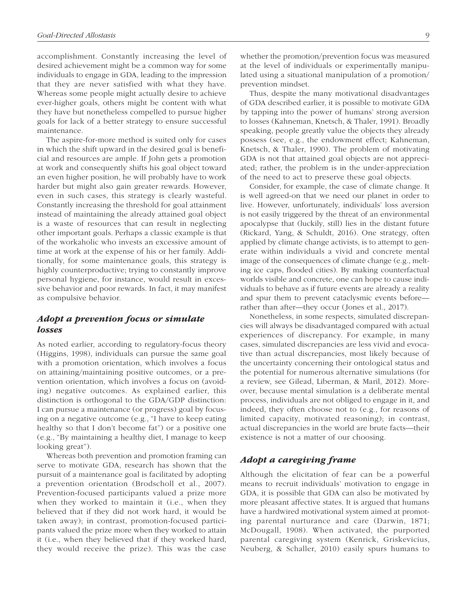accomplishment. Constantly increasing the level of desired achievement might be a common way for some individuals to engage in GDA, leading to the impression that they are never satisfied with what they have. Whereas some people might actually desire to achieve ever-higher goals, others might be content with what they have but nonetheless compelled to pursue higher goals for lack of a better strategy to ensure successful maintenance.

The aspire-for-more method is suited only for cases in which the shift upward in the desired goal is beneficial and resources are ample. If John gets a promotion at work and consequently shifts his goal object toward an even higher position, he will probably have to work harder but might also gain greater rewards. However, even in such cases, this strategy is clearly wasteful. Constantly increasing the threshold for goal attainment instead of maintaining the already attained goal object is a waste of resources that can result in neglecting other important goals. Perhaps a classic example is that of the workaholic who invests an excessive amount of time at work at the expense of his or her family. Additionally, for some maintenance goals, this strategy is highly counterproductive; trying to constantly improve personal hygiene, for instance, would result in excessive behavior and poor rewards. In fact, it may manifest as compulsive behavior.

## *Adopt a prevention focus or simulate losses*

As noted earlier, according to regulatory-focus theory (Higgins, 1998), individuals can pursue the same goal with a promotion orientation, which involves a focus on attaining/maintaining positive outcomes, or a prevention orientation, which involves a focus on (avoiding) negative outcomes. As explained earlier, this distinction is orthogonal to the GDA/GDP distinction: I can pursue a maintenance (or progress) goal by focusing on a negative outcome (e.g., "I have to keep eating healthy so that I don't become fat") or a positive one (e.g., "By maintaining a healthy diet, I manage to keep looking great").

Whereas both prevention and promotion framing can serve to motivate GDA, research has shown that the pursuit of a maintenance goal is facilitated by adopting a prevention orientation (Brodscholl et al., 2007). Prevention-focused participants valued a prize more when they worked to maintain it (i.e., when they believed that if they did not work hard, it would be taken away); in contrast, promotion-focused participants valued the prize more when they worked to attain it (i.e., when they believed that if they worked hard, they would receive the prize). This was the case whether the promotion/prevention focus was measured at the level of individuals or experimentally manipulated using a situational manipulation of a promotion/ prevention mindset.

Thus, despite the many motivational disadvantages of GDA described earlier, it is possible to motivate GDA by tapping into the power of humans' strong aversion to losses (Kahneman, Knetsch, & Thaler, 1991). Broadly speaking, people greatly value the objects they already possess (see, e.g., the endowment effect; Kahneman, Knetsch, & Thaler, 1990). The problem of motivating GDA is not that attained goal objects are not appreciated; rather, the problem is in the under-appreciation of the need to act to preserve these goal objects.

Consider, for example, the case of climate change. It is well agreed-on that we need our planet in order to live. However, unfortunately, individuals' loss aversion is not easily triggered by the threat of an environmental apocalypse that (luckily, still) lies in the distant future (Rickard, Yang, & Schuldt, 2016). One strategy, often applied by climate change activists, is to attempt to generate within individuals a vivid and concrete mental image of the consequences of climate change (e.g., melting ice caps, flooded cities). By making counterfactual worlds visible and concrete, one can hope to cause individuals to behave as if future events are already a reality and spur them to prevent cataclysmic events before rather than after—they occur (Jones et al., 2017).

Nonetheless, in some respects, simulated discrepancies will always be disadvantaged compared with actual experiences of discrepancy. For example, in many cases, simulated discrepancies are less vivid and evocative than actual discrepancies, most likely because of the uncertainty concerning their ontological status and the potential for numerous alternative simulations (for a review, see Gilead, Liberman, & Maril, 2012). Moreover, because mental simulation is a deliberate mental process, individuals are not obliged to engage in it, and indeed, they often choose not to (e.g., for reasons of limited capacity, motivated reasoning); in contrast, actual discrepancies in the world are brute facts—their existence is not a matter of our choosing.

### *Adopt a caregiving frame*

Although the elicitation of fear can be a powerful means to recruit individuals' motivation to engage in GDA, it is possible that GDA can also be motivated by more pleasant affective states. It is argued that humans have a hardwired motivational system aimed at promoting parental nurturance and care (Darwin, 1871; McDougall, 1908). When activated, the purported parental caregiving system (Kenrick, Griskevicius, Neuberg, & Schaller, 2010) easily spurs humans to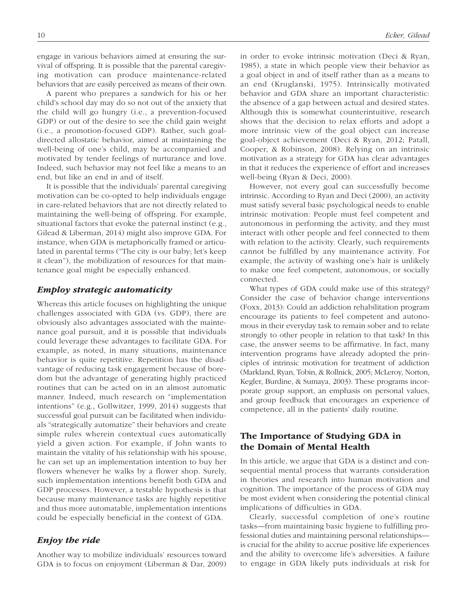engage in various behaviors aimed at ensuring the survival of offspring. It is possible that the parental caregiving motivation can produce maintenance-related behaviors that are easily perceived as means of their own.

A parent who prepares a sandwich for his or her child's school day may do so not out of the anxiety that the child will go hungry (i.e., a prevention-focused GDP) or out of the desire to see the child gain weight (i.e., a promotion-focused GDP). Rather, such goaldirected allostatic behavior, aimed at maintaining the well-being of one's child, may be accompanied and motivated by tender feelings of nurturance and love. Indeed, such behavior may not feel like a means to an end, but like an end in and of itself.

It is possible that the individuals' parental caregiving motivation can be co-opted to help individuals engage in care-related behaviors that are not directly related to maintaining the well-being of offspring. For example, situational factors that evoke the paternal instinct (e.g., Gilead & Liberman, 2014) might also improve GDA. For instance, when GDA is metaphorically framed or articulated in parental terms ("The city is our baby; let's keep it clean"), the mobilization of resources for that maintenance goal might be especially enhanced.

### *Employ strategic automaticity*

Whereas this article focuses on highlighting the unique challenges associated with GDA (vs. GDP), there are obviously also advantages associated with the maintenance goal pursuit, and it is possible that individuals could leverage these advantages to facilitate GDA. For example, as noted, in many situations, maintenance behavior is quite repetitive. Repetition has the disadvantage of reducing task engagement because of boredom but the advantage of generating highly practiced routines that can be acted on in an almost automatic manner. Indeed, much research on "implementation intentions" (e.g., Gollwitzer, 1999, 2014) suggests that successful goal pursuit can be facilitated when individuals "strategically automatize" their behaviors and create simple rules wherein contextual cues automatically yield a given action. For example, if John wants to maintain the vitality of his relationship with his spouse, he can set up an implementation intention to buy her flowers whenever he walks by a flower shop. Surely, such implementation intentions benefit both GDA and GDP processes. However, a testable hypothesis is that because many maintenance tasks are highly repetitive and thus more automatable, implementation intentions could be especially beneficial in the context of GDA.

### *Enjoy the ride*

Another way to mobilize individuals' resources toward GDA is to focus on enjoyment (Liberman & Dar, 2009) in order to evoke intrinsic motivation (Deci & Ryan, 1985), a state in which people view their behavior as a goal object in and of itself rather than as a means to an end (Kruglanski, 1975). Intrinsically motivated behavior and GDA share an important characteristic: the absence of a gap between actual and desired states. Although this is somewhat counterintuitive, research shows that the decision to relax efforts and adopt a more intrinsic view of the goal object can increase goal-object achievement (Deci & Ryan, 2012; Patall, Cooper, & Robinson, 2008). Relying on an intrinsic motivation as a strategy for GDA has clear advantages in that it reduces the experience of effort and increases

However, not every goal can successfully become intrinsic. According to Ryan and Deci (2000), an activity must satisfy several basic psychological needs to enable intrinsic motivation: People must feel competent and autonomous in performing the activity, and they must interact with other people and feel connected to them with relation to the activity. Clearly, such requirements cannot be fulfilled by any maintenance activity. For example, the activity of washing one's hair is unlikely to make one feel competent, autonomous, or socially connected.

well-being (Ryan & Deci, 2000).

What types of GDA could make use of this strategy? Consider the case of behavior change interventions (Foxx, 2013): Could an addiction rehabilitation program encourage its patients to feel competent and autonomous in their everyday task to remain sober and to relate strongly to other people in relation to that task? In this case, the answer seems to be affirmative. In fact, many intervention programs have already adopted the principles of intrinsic motivation for treatment of addiction (Markland, Ryan, Tobin, & Rollnick, 2005; McLeroy, Norton, Kegler, Burdine, & Sumaya, 2003). These programs incorporate group support, an emphasis on personal values, and group feedback that encourages an experience of competence, all in the patients' daily routine.

## The Importance of Studying GDA in the Domain of Mental Health

In this article, we argue that GDA is a distinct and consequential mental process that warrants consideration in theories and research into human motivation and cognition. The importance of the process of GDA may be most evident when considering the potential clinical implications of difficulties in GDA.

Clearly, successful completion of one's routine tasks—from maintaining basic hygiene to fulfilling professional duties and maintaining personal relationships is crucial for the ability to accrue positive life experiences and the ability to overcome life's adversities. A failure to engage in GDA likely puts individuals at risk for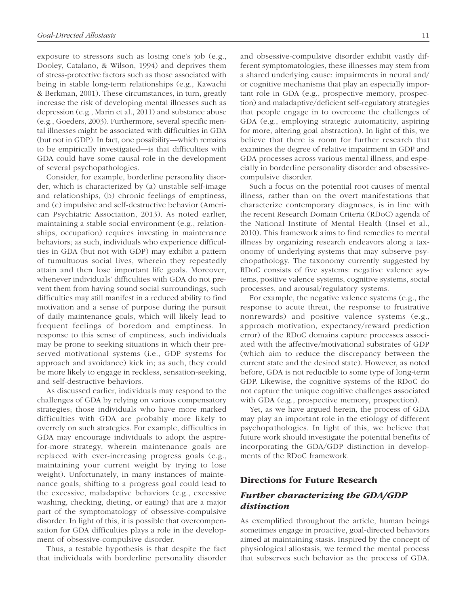exposure to stressors such as losing one's job (e.g., Dooley, Catalano, & Wilson, 1994) and deprives them of stress-protective factors such as those associated with being in stable long-term relationships (e.g., Kawachi & Berkman, 2001). These circumstances, in turn, greatly increase the risk of developing mental illnesses such as depression (e.g., Marin et al., 2011) and substance abuse (e.g., Goeders, 2003). Furthermore, several specific mental illnesses might be associated with difficulties in GDA (but not in GDP). In fact, one possibility—which remains to be empirically investigated—is that difficulties with GDA could have some causal role in the development of several psychopathologies.

Consider, for example, borderline personality disorder, which is characterized by (a) unstable self-image and relationships, (b) chronic feelings of emptiness, and (c) impulsive and self-destructive behavior (American Psychiatric Association, 2013). As noted earlier, maintaining a stable social environment (e.g., relationships, occupation) requires investing in maintenance behaviors; as such, individuals who experience difficulties in GDA (but not with GDP) may exhibit a pattern of tumultuous social lives, wherein they repeatedly attain and then lose important life goals. Moreover, whenever individuals' difficulties with GDA do not prevent them from having sound social surroundings, such difficulties may still manifest in a reduced ability to find motivation and a sense of purpose during the pursuit of daily maintenance goals, which will likely lead to frequent feelings of boredom and emptiness. In response to this sense of emptiness, such individuals may be prone to seeking situations in which their preserved motivational systems (i.e., GDP systems for approach and avoidance) kick in; as such, they could be more likely to engage in reckless, sensation-seeking, and self-destructive behaviors.

As discussed earlier, individuals may respond to the challenges of GDA by relying on various compensatory strategies; those individuals who have more marked difficulties with GDA are probably more likely to overrely on such strategies. For example, difficulties in GDA may encourage individuals to adopt the aspirefor-more strategy, wherein maintenance goals are replaced with ever-increasing progress goals (e.g., maintaining your current weight by trying to lose weight). Unfortunately, in many instances of maintenance goals, shifting to a progress goal could lead to the excessive, maladaptive behaviors (e.g., excessive washing, checking, dieting, or eating) that are a major part of the symptomatology of obsessive-compulsive disorder. In light of this, it is possible that overcompensation for GDA difficulties plays a role in the development of obsessive-compulsive disorder.

Thus, a testable hypothesis is that despite the fact that individuals with borderline personality disorder and obsessive-compulsive disorder exhibit vastly different symptomatologies, these illnesses may stem from a shared underlying cause: impairments in neural and/ or cognitive mechanisms that play an especially important role in GDA (e.g., prospective memory, prospection) and maladaptive/deficient self-regulatory strategies that people engage in to overcome the challenges of GDA (e.g., employing strategic automaticity, aspiring for more, altering goal abstraction). In light of this, we believe that there is room for further research that examines the degree of relative impairment in GDP and GDA processes across various mental illness, and especially in borderline personality disorder and obsessivecompulsive disorder.

Such a focus on the potential root causes of mental illness, rather than on the overt manifestations that characterize contemporary diagnoses, is in line with the recent Research Domain Criteria (RDoC) agenda of the National Institute of Mental Health (Insel et al., 2010). This framework aims to find remedies to mental illness by organizing research endeavors along a taxonomy of underlying systems that may subserve psychopathology. The taxonomy currently suggested by RDoC consists of five systems: negative valence systems, positive valence systems, cognitive systems, social processes, and arousal/regulatory systems.

For example, the negative valence systems (e.g., the response to acute threat, the response to frustrative nonrewards) and positive valence systems (e.g., approach motivation, expectancy/reward prediction error) of the RDoC domains capture processes associated with the affective/motivational substrates of GDP (which aim to reduce the discrepancy between the current state and the desired state). However, as noted before, GDA is not reducible to some type of long-term GDP. Likewise, the cognitive systems of the RDoC do not capture the unique cognitive challenges associated with GDA (e.g., prospective memory, prospection).

Yet, as we have argued herein, the process of GDA may play an important role in the etiology of different psychopathologies. In light of this, we believe that future work should investigate the potential benefits of incorporating the GDA/GDP distinction in developments of the RDoC framework.

### Directions for Future Research

## *Further characterizing the GDA/GDP distinction*

As exemplified throughout the article, human beings sometimes engage in proactive, goal-directed behaviors aimed at maintaining stasis. Inspired by the concept of physiological allostasis, we termed the mental process that subserves such behavior as the process of GDA.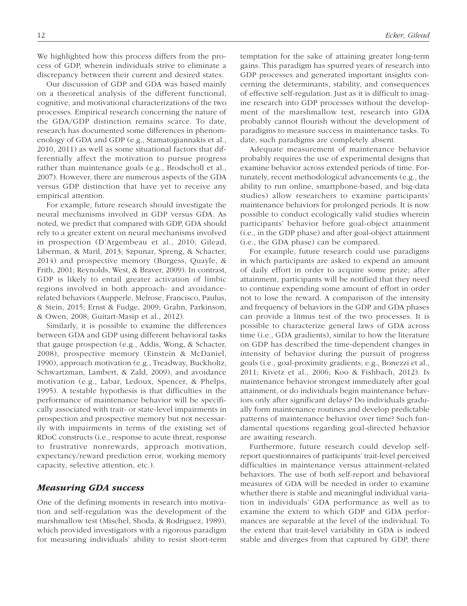We highlighted how this process differs from the process of GDP, wherein individuals strive to eliminate a discrepancy between their current and desired states.

Our discussion of GDP and GDA was based mainly on a theoretical analysis of the different functional, cognitive, and motivational characterizations of the two processes. Empirical research concerning the nature of the GDA/GDP distinction remains scarce. To date, research has documented some differences in phenomenology of GDA and GDP (e.g., Stamatogiannakis et al., 2010, 2011) as well as some situational factors that differentially affect the motivation to pursue progress rather than maintenance goals (e.g., Brodscholl et al., 2007). However, there are numerous aspects of the GDA versus GDP distinction that have yet to receive any empirical attention.

For example, future research should investigate the neural mechanisms involved in GDP versus GDA. As noted, we predict that compared with GDP, GDA should rely to a greater extent on neural mechanisms involved in prospection (D'Argembeau et al., 2010; Gilead, Liberman, & Maril, 2013; Szpunar, Spreng, & Schacter, 2014) and prospective memory (Burgess, Quayle, & Frith, 2001; Reynolds, West, & Braver, 2009). In contrast, GDP is likely to entail greater activation of limbic regions involved in both approach- and avoidancerelated behaviors (Aupperle, Melrose, Francisco, Paulus, & Stein, 2015; Ernst & Fudge, 2009; Grahn, Parkinson, & Owen, 2008; Guitart-Masip et al., 2012).

Similarly, it is possible to examine the differences between GDA and GDP using different behavioral tasks that gauge prospection (e.g., Addis, Wong, & Schacter, 2008), prospective memory (Einstein & McDaniel, 1990), approach motivation (e.g., Treadway, Buckholtz, Schwartzman, Lambert, & Zald, 2009), and avoidance motivation (e.g., Labar, Ledoux, Spencer, & Phelps, 1995). A testable hypothesis is that difficulties in the performance of maintenance behavior will be specifically associated with trait- or state-level impairments in prospection and prospective memory but not necessarily with impairments in terms of the existing set of RDoC constructs (i.e., response to acute threat, response to frustrative nonrewards, approach motivation, expectancy/reward prediction error, working memory capacity, selective attention, etc.).

### *Measuring GDA success*

One of the defining moments in research into motivation and self-regulation was the development of the marshmallow test (Mischel, Shoda, & Rodriguez, 1989), which provided investigators with a rigorous paradigm for measuring individuals' ability to resist short-term temptation for the sake of attaining greater long-term gains. This paradigm has spurred years of research into GDP processes and generated important insights concerning the determinants, stability, and consequences of effective self-regulation. Just as it is difficult to imagine research into GDP processes without the development of the marshmallow test, research into GDA probably cannot flourish without the development of paradigms to measure success in maintenance tasks. To date, such paradigms are completely absent.

Adequate measurement of maintenance behavior probably requires the use of experimental designs that examine behavior across extended periods of time. Fortunately, recent methodological advancements (e.g., the ability to run online, smartphone-based, and big-data studies) allow researchers to examine participants' maintenance behaviors for prolonged periods. It is now possible to conduct ecologically valid studies wherein participants' behavior before goal-object attainment (i.e., in the GDP phase) and after goal-object attainment (i.e., the GDA phase) can be compared.

For example, future research could use paradigms in which participants are asked to expend an amount of daily effort in order to acquire some prize; after attainment, participants will be notified that they need to continue expending some amount of effort in order not to lose the reward. A comparison of the intensity and frequency of behaviors in the GDP and GDA phases can provide a litmus test of the two processes. It is possible to characterize general laws of GDA across time (i.e., GDA gradients), similar to how the literature on GDP has described the time-dependent changes in intensity of behavior during the pursuit of progress goals (i.e., goal-proximity gradients; e.g., Bonezzi et al., 2011; Kivetz et al., 2006; Koo & Fishbach, 2012). Is maintenance behavior strongest immediately after goal attainment, or do individuals begin maintenance behaviors only after significant delays? Do individuals gradually form maintenance routines and develop predictable patterns of maintenance behavior over time? Such fundamental questions regarding goal-directed behavior are awaiting research.

Furthermore, future research could develop selfreport questionnaires of participants' trait-level perceived difficulties in maintenance versus attainment-related behaviors. The use of both self-report and behavioral measures of GDA will be needed in order to examine whether there is stable and meaningful individual variation in individuals' GDA performance as well as to examine the extent to which GDP and GDA performances are separable at the level of the individual. To the extent that trait-level variability in GDA is indeed stable and diverges from that captured by GDP, there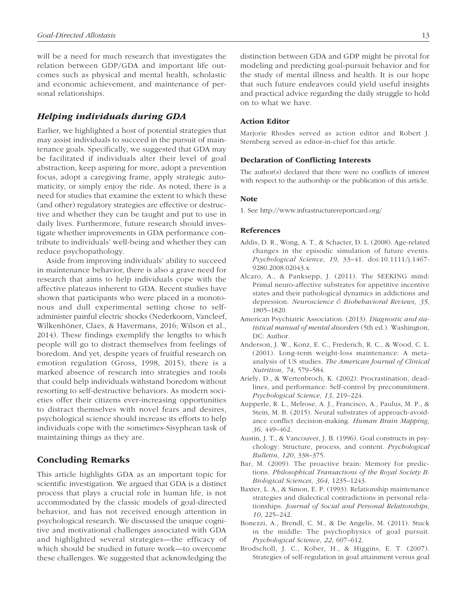will be a need for much research that investigates the relation between GDP/GDA and important life outcomes such as physical and mental health, scholastic and economic achievement, and maintenance of personal relationships.

# *Helping individuals during GDA*

Earlier, we highlighted a host of potential strategies that may assist individuals to succeed in the pursuit of maintenance goals. Specifically, we suggested that GDA may be facilitated if individuals alter their level of goal abstraction, keep aspiring for more, adopt a prevention focus, adopt a caregiving frame, apply strategic automaticity, or simply enjoy the ride. As noted, there is a need for studies that examine the extent to which these (and other) regulatory strategies are effective or destructive and whether they can be taught and put to use in daily lives. Furthermore, future research should investigate whether improvements in GDA performance contribute to individuals' well-being and whether they can reduce psychopathology.

Aside from improving individuals' ability to succeed in maintenance behavior, there is also a grave need for research that aims to help individuals cope with the affective plateaus inherent to GDA. Recent studies have shown that participants who were placed in a monotonous and dull experimental setting chose to selfadminister painful electric shocks (Nederkoorn, Vancleef, Wilkenhöner, Claes, & Havermans, 2016; Wilson et al., 2014). These findings exemplify the lengths to which people will go to distract themselves from feelings of boredom. And yet, despite years of fruitful research on emotion regulation (Gross, 1998, 2015), there is a marked absence of research into strategies and tools that could help individuals withstand boredom without resorting to self-destructive behaviors. As modern societies offer their citizens ever-increasing opportunities to distract themselves with novel fears and desires, psychological science should increase its efforts to help individuals cope with the sometimes-Sisyphean task of maintaining things as they are.

### Concluding Remarks

This article highlights GDA as an important topic for scientific investigation. We argued that GDA is a distinct process that plays a crucial role in human life, is not accommodated by the classic models of goal-directed behavior, and has not received enough attention in psychological research. We discussed the unique cognitive and motivational challenges associated with GDA and highlighted several strategies—the efficacy of which should be studied in future work—to overcome these challenges. We suggested that acknowledging the

distinction between GDA and GDP might be pivotal for modeling and predicting goal-pursuit behavior and for the study of mental illness and health. It is our hope that such future endeavors could yield useful insights and practical advice regarding the daily struggle to hold on to what we have.

### Action Editor

Marjorie Rhodes served as action editor and Robert J. Sternberg served as editor-in-chief for this article.

#### Declaration of Conflicting Interests

The author(s) declared that there were no conflicts of interest with respect to the authorship or the publication of this article.

#### Note

1. See<http://www.infrastructurereportcard.org>/

#### **References**

- Addis, D. R., Wong, A. T., & Schacter, D. L. (2008). Age-related changes in the episodic simulation of future events. *Psychological Science*, *19*, 33–41. doi:10.1111/j.1467- 9280.2008.02043.x
- Alcaro, A., & Panksepp, J. (2011). The SEEKING mind: Primal neuro-affective substrates for appetitive incentive states and their pathological dynamics in addictions and depression. *Neuroscience & Biobehavioral Reviews*, *35*, 1805–1820.
- American Psychiatric Association. (2013). *Diagnostic and statistical manual of mental disorders* (5th ed.). Washington, DC: Author.
- Anderson, J. W., Konz, E. C., Frederich, R. C., & Wood, C. L. (2001). Long-term weight-loss maintenance: A metaanalysis of US studies. *The American Journal of Clinical Nutrition*, *74*, 579–584.
- Ariely, D., & Wertenbroch, K. (2002). Procrastination, deadlines, and performance: Self-control by precommitment. *Psychological Science*, *13*, 219–224.
- Aupperle, R. L., Melrose, A. J., Francisco, A., Paulus, M. P., & Stein, M. B. (2015). Neural substrates of approach-avoidance conflict decision-making. *Human Brain Mapping*, *36*, 449–462.
- Austin, J. T., & Vancouver, J. B. (1996). Goal constructs in psychology: Structure, process, and content. *Psychological Bulletin*, *120*, 338–375.
- Bar, M. (2009). The proactive brain: Memory for predictions. *Philosophical Transactions of the Royal Society B: Biological Sciences*, *364*, 1235–1243.
- Baxter, L. A., & Simon, E. P. (1993). Relationship maintenance strategies and dialectical contradictions in personal relationships. *Journal of Social and Personal Relationships*, *10*, 225–242.
- Bonezzi, A., Brendl, C. M., & De Angelis, M. (2011). Stuck in the middle: The psychophysics of goal pursuit. *Psychological Science*, *22*, 607–612.
- Brodscholl, J. C., Kober, H., & Higgins, E. T. (2007). Strategies of self-regulation in goal attainment versus goal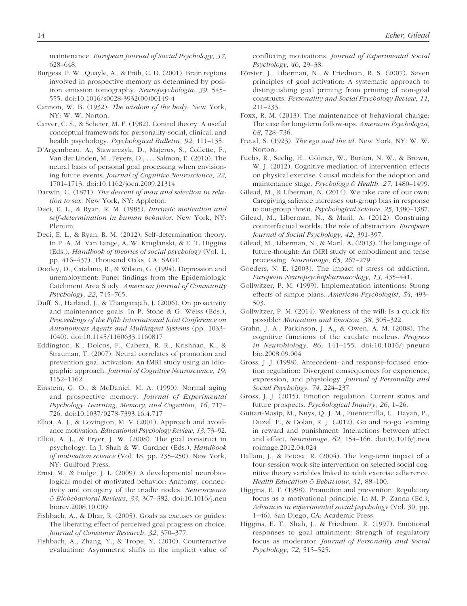maintenance. *European Journal of Social Psychology*, *37*, 628–648.

- Burgess, P. W., Quayle, A., & Frith, C. D. (2001). Brain regions involved in prospective memory as determined by positron emission tomography. *Neuropsychologia*, *39*, 545– 555. doi:10.1016/s0028-3932(00)00149-4
- Cannon, W. B. (1932). *The wisdom of the body*. New York, NY: W. W. Norton.
- Carver, C. S., & Scheier, M. F. (1982). Control theory: A useful conceptual framework for personality-social, clinical, and health psychology. *Psychological Bulletin*, *92*, 111–135.
- D'Argembeau, A., Stawarczyk, D., Majerus, S., Collette, F., Van der Linden, M., Feyers, D., . . . Salmon, E. (2010). The neural basis of personal goal processing when envisioning future events. *Journal of Cognitive Neuroscience*, *22*, 1701–1713. doi:10.1162/jocn.2009.21314
- Darwin, C. (1871). *The descent of man and selection in relation to sex*. New York, NY: Appleton.
- Deci, E. L., & Ryan, R. M. (1985). *Intrinsic motivation and self-determination in human behavior*. New York, NY: Plenum.
- Deci, E. L., & Ryan, R. M. (2012). Self-determination theory. In P. A. M. Van Lange, A. W. Kruglanski, & E. T. Higgins (Eds.), *Handbook of theories of social psychology* (Vol. 1, pp. 416–437). Thousand Oaks, CA: SAGE.
- Dooley, D., Catalano, R., & Wilson, G. (1994). Depression and unemployment: Panel findings from the Epidemiologic Catchment Area Study. *American Journal of Community Psychology*, *22*, 745–765.
- Duff, S., Harland, J., & Thangarajah, J. (2006). On proactivity and maintenance goals. In P. Stone & G. Weiss (Eds.), *Proceedings of the Fifth International Joint Conference on Autonomous Agents and Multiagent Systems* (pp. 1033– 1040). doi:10.1145/1160633.1160817
- Eddington, K., Dolcos, F., Cabeza, R. R., Krishnan, K., & Strauman, T. (2007). Neural correlates of promotion and prevention goal activation: An fMRI study using an idiographic approach. *Journal of Cognitive Neuroscience*, *19*, 1152–1162.
- Einstein, G. O., & McDaniel, M. A. (1990). Normal aging and prospective memory. *Journal of Experimental Psychology: Learning, Memory, and Cognition*, *16*, 717– 726. doi:10.1037/0278-7393.16.4.717
- Elliot, A. J., & Covington, M. V. (2001). Approach and avoidance motivation. *Educational Psychology Review*, *13*, 73–92.
- Elliot, A. J., & Fryer, J. W. (2008). The goal construct in psychology. In J. Shah & W. Gardner (Eds.), *Handbook of motivation science* (Vol. 18, pp. 235–250). New York, NY: Guilford Press.
- Ernst, M., & Fudge, J. L. (2009). A developmental neurobiological model of motivated behavior: Anatomy, connectivity and ontogeny of the triadic nodes. *Neuroscience & Biobehavioral Reviews*, *33*, 367–382. doi:10.1016/j.neu biorev.2008.10.009
- Fishbach, A., & Dhar, R. (2005). Goals as excuses or guides: The liberating effect of perceived goal progress on choice. *Journal of Consumer Research*, *32*, 370–377.
- Fishbach, A., Zhang, Y., & Trope, Y. (2010). Counteractive evaluation: Asymmetric shifts in the implicit value of

conflicting motivations. *Journal of Experimental Social Psychology*, *46*, 29–38.

- Förster, J., Liberman, N., & Friedman, R. S. (2007). Seven principles of goal activation: A systematic approach to distinguishing goal priming from priming of non-goal constructs. *Personality and Social Psychology Review*, *11*, 211–233.
- Foxx, R. M. (2013). The maintenance of behavioral change: The case for long-term follow-ups. *American Psychologist*, *68*, 728–736.
- Freud, S. (1923). *The ego and the id*. New York, NY: W. W. Norton.
- Fuchs, R., Seelig, H., Göhner, W., Burton, N. W., & Brown, W. J. (2012). Cognitive mediation of intervention effects on physical exercise: Causal models for the adoption and maintenance stage. *Psychology & Health*, *27*, 1480–1499.
- Gilead, M., & Liberman, N. (2014). We take care of our own: Caregiving salience increases out-group bias in response to out-group threat. *Psychological Science*, *25*, 1380–1387.
- Gilead, M., Liberman, N., & Maril, A. (2012). Construing counterfactual worlds: The role of abstraction. *European Journal of Social Psychology*, *42*, 391-397.
- Gilead, M., Liberman, N., & Maril, A. (2013). The language of future-thought: An fMRI study of embodiment and tense processing. *NeuroImage*, *65*, 267–279.
- Goeders, N. E. (2003). The impact of stress on addiction. *European Neuropsychopharmacology*, *13*, 435–441.
- Gollwitzer, P. M. (1999). Implementation intentions: Strong effects of simple plans. *American Psychologist*, *54*, 493– 503.
- Gollwitzer, P. M. (2014). Weakness of the will: Is a quick fix possible? *Motivation and Emotion*, *38*, 305–322.
- Grahn, J. A., Parkinson, J. A., & Owen, A. M. (2008). The cognitive functions of the caudate nucleus. *Progress in Neurobiology*, *86*, 141–155. doi:10.1016/j.pneuro bio.2008.09.004
- Gross, J. J. (1998). Antecedent- and response-focused emotion regulation: Divergent consequences for experience, expression, and physiology. *Journal of Personality and Social Psychology*, *74*, 224–237.
- Gross, J. J. (2015). Emotion regulation: Current status and future prospects. *Psychological Inquiry*, *26*, 1–26.
- Guitart-Masip, M., Nuys, Q. J. M., Fuentemilla, L., Dayan, P., Duzel, E., & Dolan, R. J. (2012). Go and no-go learning in reward and punishment: Interactions between affect and effect. *NeuroImage*, *62*, 154–166. doi:10.1016/j.neu roimage.2012.04.024
- Hallam, J., & Petosa, R. (2004). The long-term impact of a four-session work-site intervention on selected social cognitive theory variables linked to adult exercise adherence. *Health Education & Behaviour*, *31*, 88–100.
- Higgins, E. T. (1998). Promotion and prevention: Regulatory focus as a motivational principle. In M. P. Zanna (Ed.), *Advances in experimental social psychology* (Vol. 30, pp. 1–46). San Diego, CA: Academic Press.
- Higgins, E. T., Shah, J., & Friedman, R. (1997). Emotional responses to goal attainment: Strength of regulatory focus as moderator. *Journal of Personality and Social Psychology*, *72*, 515–525.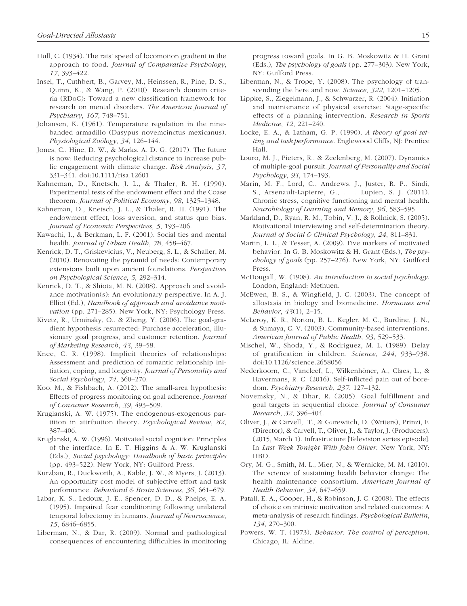- Hull, C. (1934). The rats' speed of locomotion gradient in the approach to food. *Journal of Comparative Psychology*, *17*, 393–422.
- Insel, T., Cuthbert, B., Garvey, M., Heinssen, R., Pine, D. S., Quinn, K., & Wang, P. (2010). Research domain criteria (RDoC): Toward a new classification framework for research on mental disorders. *The American Journal of Psychiatry*, *167*, 748–751.
- Johansen, K. (1961). Temperature regulation in the ninebanded armadillo (Dasypus novemcinctus mexicanus). *Physiological Zoölogy*, *34*, 126–144.
- Jones, C., Hine, D. W., & Marks, A. D. G. (2017). The future is now: Reducing psychological distance to increase public engagement with climate change. *Risk Analysis*, *37*, 331–341. doi:10.1111/risa.12601
- Kahneman, D., Knetsch, J. L., & Thaler, R. H. (1990). Experimental tests of the endowment effect and the Coase theorem. *Journal of Political Economy*, *98*, 1325–1348.
- Kahneman, D., Knetsch, J. L., & Thaler, R. H. (1991). The endowment effect, loss aversion, and status quo bias. *Journal of Economic Perspectives*, *5*, 193–206.
- Kawachi, I., & Berkman, L. F. (2001). Social ties and mental health. *Journal of Urban Health*, *78*, 458–467.
- Kenrick, D. T., Griskevicius, V., Neuberg, S. L., & Schaller, M. (2010). Renovating the pyramid of needs: Contemporary extensions built upon ancient foundations. *Perspectives on Psychological Science*, *5*, 292–314.
- Kenrick, D. T., & Shiota, M. N. (2008). Approach and avoidance motivation(s): An evolutionary perspective. In A. J. Elliot (Ed.), *Handbook of approach and avoidance motivation* (pp. 271–285). New York, NY: Psychology Press.
- Kivetz, R., Urminsky, O., & Zheng, Y. (2006). The goal-gradient hypothesis resurrected: Purchase acceleration, illusionary goal progress, and customer retention. *Journal of Marketing Research*, *43*, 39–58.
- Knee, C. R. (1998). Implicit theories of relationships: Assessment and prediction of romantic relationship initiation, coping, and longevity. *Journal of Personality and Social Psychology*, *74*, 360–270.
- Koo, M., & Fishbach, A. (2012). The small-area hypothesis: Effects of progress monitoring on goal adherence. *Journal of Consumer Research*, *39*, 493–509.
- Kruglanski, A. W. (1975). The endogenous-exogenous partition in attribution theory. *Psychological Review*, *82*, 387–406.
- Kruglanski, A. W. (1996). Motivated social cognition: Principles of the interface. In E. T. Higgins & A. W. Kruglanski (Eds.), *Social psychology: Handbook of basic principles* (pp. 493–522). New York, NY: Guilford Press.
- Kurzban, R., Duckworth, A., Kable, J. W., & Myers, J. (2013). An opportunity cost model of subjective effort and task performance. *Behavioral & Brain Sciences*, *36*, 661–679.
- Labar, K. S., Ledoux, J. E., Spencer, D. D., & Phelps, E. A. (1995). Impaired fear conditioning following unilateral temporal lobectomy in humans. *Journal of Neuroscience*, *15*, 6846–6855.
- Liberman, N., & Dar, R. (2009). Normal and pathological consequences of encountering difficulties in monitoring

progress toward goals. In G. B. Moskowitz & H. Grant (Eds.), *The psychology of goals* (pp. 277–303). New York, NY: Guilford Press.

- Liberman, N., & Trope, Y. (2008). The psychology of transcending the here and now. *Science*, *322*, 1201–1205.
- Lippke, S., Ziegelmann, J., & Schwarzer, R. (2004). Initiation and maintenance of physical exercise: Stage-specific effects of a planning intervention. *Research in Sports Medicine*, *12*, 221–240.
- Locke, E. A., & Latham, G. P. (1990). *A theory of goal setting and task performance*. Englewood Cliffs, NJ: Prentice Hall.
- Louro, M. J., Pieters, R., & Zeelenberg, M. (2007). Dynamics of multiple-goal pursuit. *Journal of Personality and Social Psychology*, *93*, 174–193.
- Marin, M. F., Lord, C., Andrews, J., Juster, R. P., Sindi, S., Arsenault-Lapierre, G., . . . Lupien, S. J. (2011). Chronic stress, cognitive functioning and mental health. *Neurobiology of Learning and Memory*, *96*, 583–595.
- Markland, D., Ryan, R. M., Tobin, V. J., & Rollnick, S. (2005). Motivational interviewing and self-determination theory. *Journal of Social & Clinical Psychology*, *24*, 811–831.
- Martin, L. L., & Tesser, A. (2009). Five markers of motivated behavior. In G. B. Moskowitz & H. Grant (Eds.), *The psychology of goals* (pp. 257−276). New York, NY: Guilford Press.
- McDougall, W. (1908). *An introduction to social psychology*. London, England: Methuen.
- McEwen, B. S., & Wingfield, J. C. (2003). The concept of allostasis in biology and biomedicine. *Hormones and Behavior*, *43*(1), 2–15.
- McLeroy, K. R., Norton, B. L., Kegler, M. C., Burdine, J. N., & Sumaya, C. V. (2003). Community-based interventions. *American Journal of Public Health*, *93*, 529–533.
- Mischel, W., Shoda, Y., & Rodriguez, M. L. (1989). Delay of gratification in children. *Science*, *244*, 933–938. doi:10.1126/science.2658056
- Nederkoorn, C., Vancleef, L., Wilkenhöner, A., Claes, L., & Havermans, R. C. (2016). Self-inflicted pain out of boredom. *Psychiatry Research*, *237*, 127–132.
- Novemsky, N., & Dhar, R. (2005). Goal fulfillment and goal targets in sequential choice. *Journal of Consumer Research*, *32*, 396–404.
- Oliver, J., & Carvell, T., & Gurewitch, D. (Writers), Prinzi, F. (Director), & Carvell, T., Oliver, J., & Taylor, J. (Producers). (2015, March 1). Infrastructure [Television series episode]. In *Last Week Tonight With John Oliver*. New York, NY: HBO.
- Ory, M. G., Smith, M. L., Mier, N., & Wernicke, M. M. (2010). The science of sustaining health behavior change: The health maintenance consortium. *American Journal of Health Behavior*, *34*, 647–659.
- Patall, E. A., Cooper, H., & Robinson, J. C. (2008). The effects of choice on intrinsic motivation and related outcomes: A meta-analysis of research findings. *Psychological Bulletin*, *134*, 270–300.
- Powers, W. T. (1973). *Behavior: The control of perception*. Chicago, IL: Aldine.